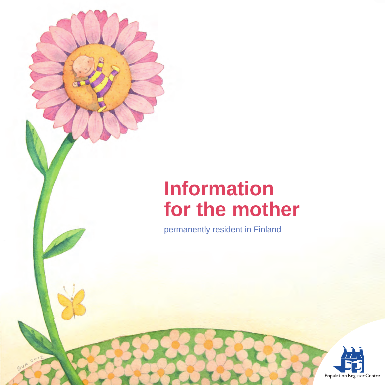# **Information for the mother**

permanently resident in Finland

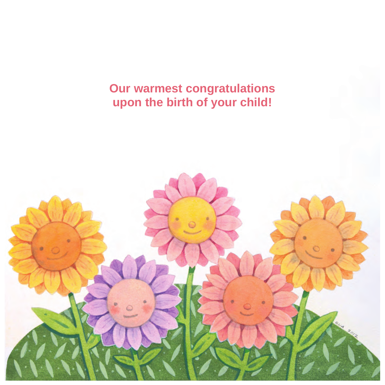**Our warmest congratulations upon the birth of your child!**

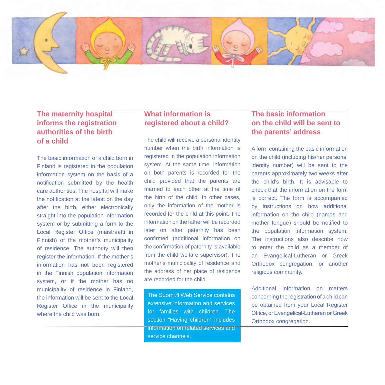

### **The maternity hospital informs the registration authorities of the birth of a child**

The basic information of a child born in Finland is registered in the population information system on the basis of a notification submitted by the health care authorities. The hospital will make the notification at the latest on the day after the birth, either electronically straight into the population information system or by submitting a form to the Local Register Office (maistraatti in Finnish) of the mother's municipality of residence. The authority will then register the information. If the mother's information has not been registered in the Finnish population information system, or if the mother has no municipality of residence in Finland, the information will be sent to the Local Register Office in the municipality where the child was born.

### **What information is registered about a child?**

The child will receive a personal identity number when the birth information is registered in the population information system. At the same time, information on both parents is recorded for the child provided that the parents are married to each other at the time of the birth of the child. In other cases, only the information of the mother is recorded for the child at this point. The information on the father will be recorded later on after paternity has been confirmed (additional information on the confirmation of paternity is available from the child welfare supervisor). The mother's municipality of residence and the address of her place of residence are recorded for the child.

The Suomi.fi Web Service contains extensive information and services for families with children. The section "Having children" includes information on related services and service channels.

## **The basic information on the child will be sent to the parents' address**

A form containing the basic information on the child (including his/her personal identity number) will be sent to the parents approximately two weeks after the child's birth. It is advisable to check that the information on the form is correct. The form is accompanied by instructions on how additional information on the child (names and mother tongue) should be notified to the population information system. The instructions also describe how to enter the child as a member of an Evangelical-Lutheran or Greek Orthodox congregation, or another religious community.

Additional information on matters concerning the registration of a child can be obtained from your Local Register Office, or Evangelical-Lutheran or Greek Orthodox congregation.